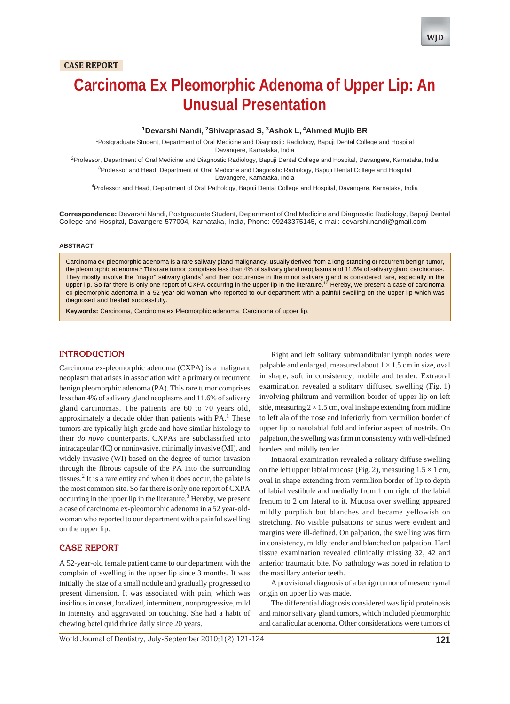# **Carcinoma Ex Pleomorphic Adenoma of Upper Lip: An Unusual Presentation**

## **1 Devarshi Nandi, 2 Shivaprasad S, 3 Ashok L, 4Ahmed Mujib BR**

<sup>1</sup>Postgraduate Student, Department of Oral Medicine and Diagnostic Radiology, Bapuji Dental College and Hospital Davangere, Karnataka, India

<sup>2</sup>Professor, Department of Oral Medicine and Diagnostic Radiology, Bapuji Dental College and Hospital, Davangere, Karnataka, India <sup>3</sup>Professor and Head, Department of Oral Medicine and Diagnostic Radiology, Bapuji Dental College and Hospital

Davangere, Karnataka, India

4 Professor and Head, Department of Oral Pathology, Bapuji Dental College and Hospital, Davangere, Karnataka, India

**Correspondence:** Devarshi Nandi, Postgraduate Student, Department of Oral Medicine and Diagnostic Radiology, Bapuji Dental College and Hospital, Davangere-577004, Karnataka, India, Phone: 09243375145, e-mail: devarshi.nandi@gmail.com

#### **ABSTRACT**

Carcinoma ex-pleomorphic adenoma is a rare salivary gland malignancy, usually derived from a long-standing or recurrent benign tumor, the pleomorphic adenoma.<sup>1</sup> This rare tumor comprises less than 4% of salivary gland neoplasms and 11.6% of salivary gland carcinomas. They mostly involve the "major" salivary glands<sup>1</sup> and their occurrence in the minor salivary gland is considered rare, especially in the upper lip. So far there is only one report of CXPA occurring in the upper lip in the literature.<sup>13</sup> Hereby, we present a case of carcinoma ex-pleomorphic adenoma in a 52-year-old woman who reported to our department with a painful swelling on the upper lip which was diagnosed and treated successfully.

**Keywords:** Carcinoma, Carcinoma ex Pleomorphic adenoma, Carcinoma of upper lip.

# **INTRODUCTION**

Carcinoma ex-pleomorphic adenoma (CXPA) is a malignant neoplasm that arises in association with a primary or recurrent benign pleomorphic adenoma (PA). This rare tumor comprises less than 4% of salivary gland neoplasms and 11.6% of salivary gland carcinomas. The patients are 60 to 70 years old, approximately a decade older than patients with  $PA<sup>1</sup>$ . These tumors are typically high grade and have similar histology to their *do novo* counterparts. CXPAs are subclassified into intracapsular (IC) or noninvasive, minimally invasive (MI), and widely invasive (WI) based on the degree of tumor invasion through the fibrous capsule of the PA into the surrounding tissues.<sup>2</sup> It is a rare entity and when it does occur, the palate is the most common site. So far there is only one report of CXPA occurring in the upper lip in the literature.<sup>3</sup> Hereby, we present a case of carcinoma ex-pleomorphic adenoma in a 52 year-oldwoman who reported to our department with a painful swelling on the upper lip.

# **CASE REPORT**

A 52-year-old female patient came to our department with the complain of swelling in the upper lip since 3 months. It was initially the size of a small nodule and gradually progressed to present dimension. It was associated with pain, which was insidious in onset, localized, intermittent, nonprogressive, mild in intensity and aggravated on touching. She had a habit of chewing betel quid thrice daily since 20 years.

Right and left solitary submandibular lymph nodes were palpable and enlarged, measured about  $1 \times 1.5$  cm in size, oval in shape, soft in consistency, mobile and tender. Extraoral examination revealed a solitary diffused swelling (Fig. 1) involving philtrum and vermilion border of upper lip on left side, measuring  $2 \times 1.5$  cm, oval in shape extending from midline to left ala of the nose and inferiorly from vermilion border of upper lip to nasolabial fold and inferior aspect of nostrils. On palpation, the swelling was firm in consistency with well-defined borders and mildly tender.

Intraoral examination revealed a solitary diffuse swelling on the left upper labial mucosa (Fig. 2), measuring  $1.5 \times 1$  cm, oval in shape extending from vermilion border of lip to depth of labial vestibule and medially from 1 cm right of the labial frenum to 2 cm lateral to it. Mucosa over swelling appeared mildly purplish but blanches and became yellowish on stretching. No visible pulsations or sinus were evident and margins were ill-defined. On palpation, the swelling was firm in consistency, mildly tender and blanched on palpation. Hard tissue examination revealed clinically missing 32, 42 and anterior traumatic bite. No pathology was noted in relation to the maxillary anterior teeth.

A provisional diagnosis of a benign tumor of mesenchymal origin on upper lip was made.

The differential diagnosis considered was lipid proteinosis and minor salivary gland tumors, which included pleomorphic and canalicular adenoma. Other considerations were tumors of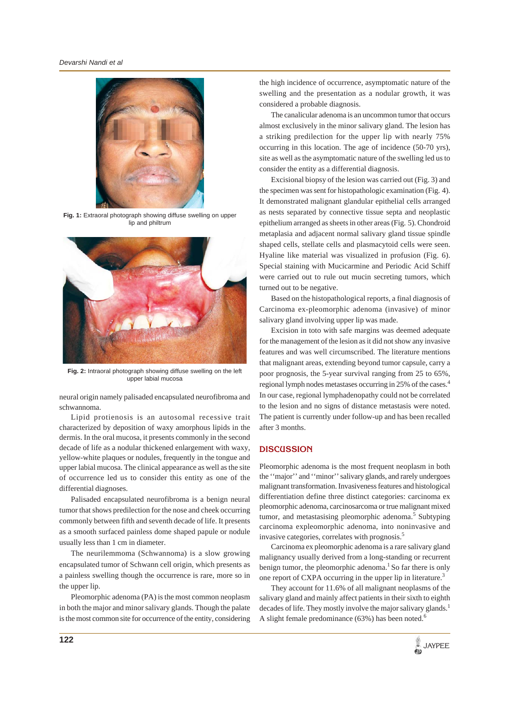

**Fig. 1:** Extraoral photograph showing diffuse swelling on upper lip and philtrum



**Fig. 2:** Intraoral photograph showing diffuse swelling on the left upper labial mucosa

neural origin namely palisaded encapsulated neurofibroma and schwannoma.

Lipid protienosis is an autosomal recessive trait characterized by deposition of waxy amorphous lipids in the dermis. In the oral mucosa, it presents commonly in the second decade of life as a nodular thickened enlargement with waxy, yellow-white plaques or nodules, frequently in the tongue and upper labial mucosa. The clinical appearance as well as the site of occurrence led us to consider this entity as one of the differential diagnoses.

Palisaded encapsulated neurofibroma is a benign neural tumor that shows predilection for the nose and cheek occurring commonly between fifth and seventh decade of life. It presents as a smooth surfaced painless dome shaped papule or nodule usually less than 1 cm in diameter.

The neurilemmoma (Schwannoma) is a slow growing encapsulated tumor of Schwann cell origin, which presents as a painless swelling though the occurrence is rare, more so in the upper lip.

Pleomorphic adenoma (PA) is the most common neoplasm in both the major and minor salivary glands. Though the palate is the most common site for occurrence of the entity, considering

the high incidence of occurrence, asymptomatic nature of the swelling and the presentation as a nodular growth, it was considered a probable diagnosis.

The canalicular adenoma is an uncommon tumor that occurs almost exclusively in the minor salivary gland. The lesion has a striking predilection for the upper lip with nearly 75% occurring in this location. The age of incidence (50-70 yrs), site as well as the asymptomatic nature of the swelling led us to consider the entity as a differential diagnosis.

Excisional biopsy of the lesion was carried out (Fig. 3) and the specimen was sent for histopathologic examination (Fig. 4). It demonstrated malignant glandular epithelial cells arranged as nests separated by connective tissue septa and neoplastic epithelium arranged as sheets in other areas (Fig. 5). Chondroid metaplasia and adjacent normal salivary gland tissue spindle shaped cells, stellate cells and plasmacytoid cells were seen. Hyaline like material was visualized in profusion (Fig. 6). Special staining with Mucicarmine and Periodic Acid Schiff were carried out to rule out mucin secreting tumors, which turned out to be negative.

Based on the histopathological reports, a final diagnosis of Carcinoma ex-pleomorphic adenoma (invasive) of minor salivary gland involving upper lip was made.

Excision in toto with safe margins was deemed adequate for the management of the lesion as it did not show any invasive features and was well circumscribed. The literature mentions that malignant areas, extending beyond tumor capsule, carry a poor prognosis, the 5-year survival ranging from 25 to 65%, regional lymph nodes metastases occurring in 25% of the cases.<sup>4</sup> In our case, regional lymphadenopathy could not be correlated to the lesion and no signs of distance metastasis were noted. The patient is currently under follow-up and has been recalled after 3 months.

#### **DISCUSSION**

Pleomorphic adenoma is the most frequent neoplasm in both the ''major'' and ''minor'' salivary glands, and rarely undergoes malignant transformation. Invasiveness features and histological differentiation define three distinct categories: carcinoma ex pleomorphic adenoma, carcinosarcoma or true malignant mixed tumor, and metastasising pleomorphic adenoma.<sup>5</sup> Subtyping carcinoma expleomorphic adenoma, into noninvasive and invasive categories, correlates with prognosis.5

Carcinoma ex pleomorphic adenoma is a rare salivary gland malignancy usually derived from a long-standing or recurrent benign tumor, the pleomorphic adenoma.<sup>1</sup> So far there is only one report of CXPA occurring in the upper lip in literature.<sup>3</sup>

They account for 11.6% of all malignant neoplasms of the salivary gland and mainly affect patients in their sixth to eighth decades of life. They mostly involve the major salivary glands.<sup>1</sup> A slight female predominance  $(63%)$  has been noted.<sup>6</sup>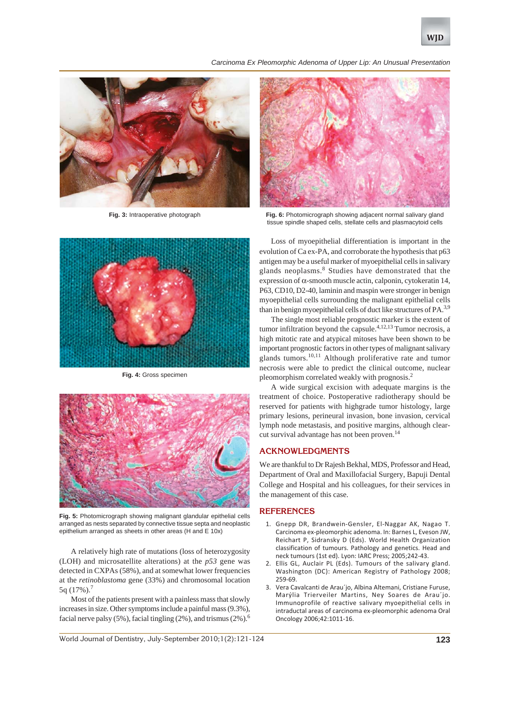#### *Carcinoma Ex Pleomorphic Adenoma of Upper Lip: An Unusual Presentation*



**Fig. 3:** Intraoperative photograph



**Fig. 4:** Gross specimen



**Fig. 5:** Photomicrograph showing malignant glandular epithelial cells arranged as nests separated by connective tissue septa and neoplastic epithelium arranged as sheets in other areas (H and E 10x)

A relatively high rate of mutations (loss of heterozygosity (LOH) and microsatellite alterations) at the *p53* gene was detected in CXPAs (58%), and at somewhat lower frequencies at the *retinoblastoma* gene (33%) and chromosomal location 5q  $(17\%)$ .

Most of the patients present with a painless mass that slowly increases in size. Other symptoms include a painful mass (9.3%), facial nerve palsy (5%), facial tingling (2%), and trismus (2%).<sup>6</sup>



**Fig. 6:** Photomicrograph showing adjacent normal salivary gland tissue spindle shaped cells, stellate cells and plasmacytoid cells

Loss of myoepithelial differentiation is important in the evolution of Ca ex-PA, and corroborate the hypothesis that p63 antigen may be a useful marker of myoepithelial cells in salivary glands neoplasms.<sup>8</sup> Studies have demonstrated that the expression of α-smooth muscle actin, calponin, cytokeratin 14, P63, CD10, D2-40, laminin and maspin were stronger in benign myoepithelial cells surrounding the malignant epithelial cells than in benign myoepithelial cells of duct like structures of  $PA^{3,9}$ .

The single most reliable prognostic marker is the extent of tumor infiltration beyond the capsule. $4,12,13$  Tumor necrosis, a high mitotic rate and atypical mitoses have been shown to be important prognostic factors in other types of malignant salivary glands tumors.<sup>10,11</sup> Although proliferative rate and tumor necrosis were able to predict the clinical outcome, nuclear pleomorphism correlated weakly with prognosis.2

A wide surgical excision with adequate margins is the treatment of choice. Postoperative radiotherapy should be reserved for patients with highgrade tumor histology, large primary lesions, perineural invasion, bone invasion, cervical lymph node metastasis, and positive margins, although clearcut survival advantage has not been proven.<sup>14</sup>

# **ACKNOWLEDGMENTS**

We are thankful to Dr Rajesh Bekhal, MDS, Professor and Head, Department of Oral and Maxillofacial Surgery, Bapuji Dental College and Hospital and his colleagues, for their services in the management of this case.

#### **REFERENCES**

- 1. Gnepp DR, Brandwein-Gensler, El-Naggar AK, Nagao T. Carcinoma ex-pleomorphic adenoma. In: Barnes L, Eveson JW, Reichart P, Sidransky D (Eds). World Health Organization classification of tumours. Pathology and genetics. Head and neck tumours (1st ed). Lyon: IARC Press; 2005;242-43.
- 2. Ellis GL, Auclair PL (Eds). Tumours of the salivary gland. Washington (DC): American Registry of Pathology 2008; 259-69.
- 3. Vera Cavalcanti de Arau´jo, Albina Altemani, Cristiane Furuse, Marýlia Trierveiler Martins, Ney Soares de Arau´jo. Immunoprofile of reactive salivary myoepithelial cells in intraductal areas of carcinoma ex-pleomorphic adenoma Oral Oncology 2006;42:1011-16.

World Journal of Dentistry, July-September 2010;1(2):121-124 **123**